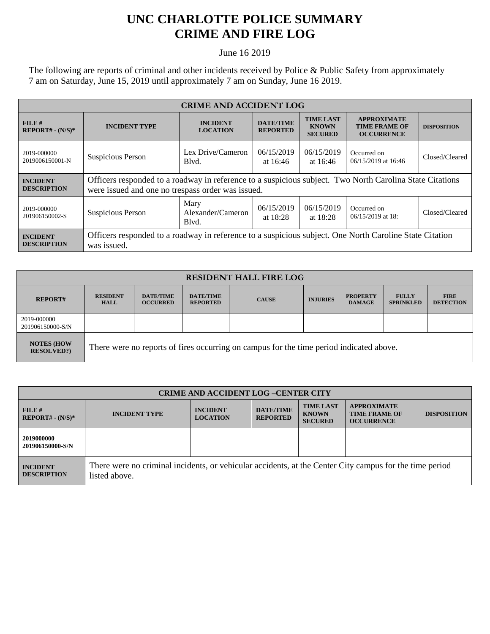## **UNC CHARLOTTE POLICE SUMMARY CRIME AND FIRE LOG**

June 16 2019

The following are reports of criminal and other incidents received by Police & Public Safety from approximately 7 am on Saturday, June 15, 2019 until approximately 7 am on Sunday, June 16 2019.

| <b>CRIME AND ACCIDENT LOG</b>         |                                                                                                                                                               |                                    |                                     |                                                    |                                                                 |                    |  |
|---------------------------------------|---------------------------------------------------------------------------------------------------------------------------------------------------------------|------------------------------------|-------------------------------------|----------------------------------------------------|-----------------------------------------------------------------|--------------------|--|
| $FILE$ #<br>$REPORT# - (N/S)*$        | <b>INCIDENT TYPE</b>                                                                                                                                          | <b>INCIDENT</b><br><b>LOCATION</b> | <b>DATE/TIME</b><br><b>REPORTED</b> | <b>TIME LAST</b><br><b>KNOWN</b><br><b>SECURED</b> | <b>APPROXIMATE</b><br><b>TIME FRAME OF</b><br><b>OCCURRENCE</b> | <b>DISPOSITION</b> |  |
| 2019-000000<br>2019006150001-N        | Suspicious Person                                                                                                                                             | Lex Drive/Cameron<br>Blyd.         | 06/15/2019<br>at $16:46$            | 06/15/2019<br>at $16:46$                           | Occurred on<br>06/15/2019 at 16:46                              | Closed/Cleared     |  |
| <b>INCIDENT</b><br><b>DESCRIPTION</b> | Officers responded to a roadway in reference to a suspicious subject. Two North Carolina State Citations<br>were issued and one no trespass order was issued. |                                    |                                     |                                                    |                                                                 |                    |  |
| 2019-000000<br>201906150002-S         | Suspicious Person                                                                                                                                             | Mary<br>Alexander/Cameron<br>Blvd. | 06/15/2019<br>at $18:28$            | 06/15/2019<br>at $18:28$                           | Occurred on<br>$06/15/2019$ at 18:                              | Closed/Cleared     |  |
| <b>INCIDENT</b><br><b>DESCRIPTION</b> | Officers responded to a roadway in reference to a suspicious subject. One North Caroline State Citation<br>was issued.                                        |                                    |                                     |                                                    |                                                                 |                    |  |

| <b>RESIDENT HALL FIRE LOG</b>         |                                                                                         |                                     |                                     |              |                 |                                  |                                  |                                 |
|---------------------------------------|-----------------------------------------------------------------------------------------|-------------------------------------|-------------------------------------|--------------|-----------------|----------------------------------|----------------------------------|---------------------------------|
| <b>REPORT#</b>                        | <b>RESIDENT</b><br><b>HALL</b>                                                          | <b>DATE/TIME</b><br><b>OCCURRED</b> | <b>DATE/TIME</b><br><b>REPORTED</b> | <b>CAUSE</b> | <b>INJURIES</b> | <b>PROPERTY</b><br><b>DAMAGE</b> | <b>FULLY</b><br><b>SPRINKLED</b> | <b>FIRE</b><br><b>DETECTION</b> |
| 2019-000000<br>201906150000-S/N       |                                                                                         |                                     |                                     |              |                 |                                  |                                  |                                 |
| <b>NOTES (HOW</b><br><b>RESOLVED?</b> | There were no reports of fires occurring on campus for the time period indicated above. |                                     |                                     |              |                 |                                  |                                  |                                 |

| <b>CRIME AND ACCIDENT LOG-CENTER CITY</b> |                                                                                                                          |                                    |                                     |                                                    |                                                                 |                    |
|-------------------------------------------|--------------------------------------------------------------------------------------------------------------------------|------------------------------------|-------------------------------------|----------------------------------------------------|-----------------------------------------------------------------|--------------------|
| FILE#<br>$REPORT# - (N/S)*$               | <b>INCIDENT TYPE</b>                                                                                                     | <b>INCIDENT</b><br><b>LOCATION</b> | <b>DATE/TIME</b><br><b>REPORTED</b> | <b>TIME LAST</b><br><b>KNOWN</b><br><b>SECURED</b> | <b>APPROXIMATE</b><br><b>TIME FRAME OF</b><br><b>OCCURRENCE</b> | <b>DISPOSITION</b> |
| 2019000000<br>201906150000-S/N            |                                                                                                                          |                                    |                                     |                                                    |                                                                 |                    |
| <b>INCIDENT</b><br><b>DESCRIPTION</b>     | There were no criminal incidents, or vehicular accidents, at the Center City campus for the time period<br>listed above. |                                    |                                     |                                                    |                                                                 |                    |